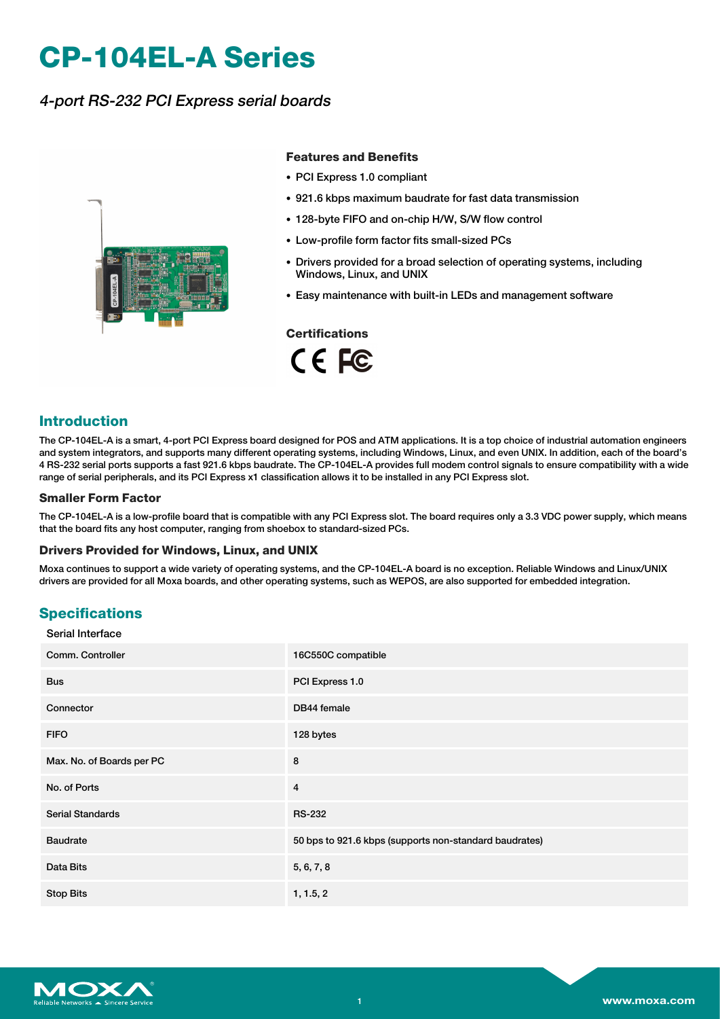# **CP-104EL-A Series**

## 4-port RS-232 PCI Express serial boards



#### **Features and Benefits**

- PCI Express 1.0 compliant
- 921.6 kbps maximum baudrate for fast data transmission
- 128-byte FIFO and on-chip H/W, S/W flow control
- Low-profile form factor fits small-sized PCs
- Drivers provided for a broad selection of operating systems, including Windows, Linux, and UNIX
- Easy maintenance with built-in LEDs and management software

#### **Certifications**

CE FC

### **Introduction**

The CP-104EL-A is a smart, 4-port PCI Express board designed for POS and ATM applications. It is a top choice of industrial automation engineers and system integrators, and supports many different operating systems, including Windows, Linux, and even UNIX. In addition, each of the board's 4 RS-232 serial ports supports a fast 921.6 kbps baudrate. The CP-104EL-A provides full modem control signals to ensure compatibility with a wide range of serial peripherals, and its PCI Express x1 classification allows it to be installed in any PCI Express slot.

#### **Smaller Form Factor**

The CP-104EL-A is a low-profile board that is compatible with any PCI Express slot. The board requires only a 3.3 VDC power supply, which means that the board fits any host computer, ranging from shoebox to standard-sized PCs.

#### **Drivers Provided for Windows, Linux, and UNIX**

Moxa continues to support a wide variety of operating systems, and the CP-104EL-A board is no exception. Reliable Windows and Linux/UNIX drivers are provided for all Moxa boards, and other operating systems, such as WEPOS, are also supported for embedded integration.

#### **Specifications** Serial Interface

| Comm. Controller          | 16C550C compatible                                     |
|---------------------------|--------------------------------------------------------|
| <b>Bus</b>                | PCI Express 1.0                                        |
| Connector                 | DB44 female                                            |
| <b>FIFO</b>               | 128 bytes                                              |
| Max. No. of Boards per PC | 8                                                      |
| No. of Ports              | $\overline{4}$                                         |
| <b>Serial Standards</b>   | <b>RS-232</b>                                          |
| <b>Baudrate</b>           | 50 bps to 921.6 kbps (supports non-standard baudrates) |
| Data Bits                 | 5, 6, 7, 8                                             |
| <b>Stop Bits</b>          | 1, 1.5, 2                                              |

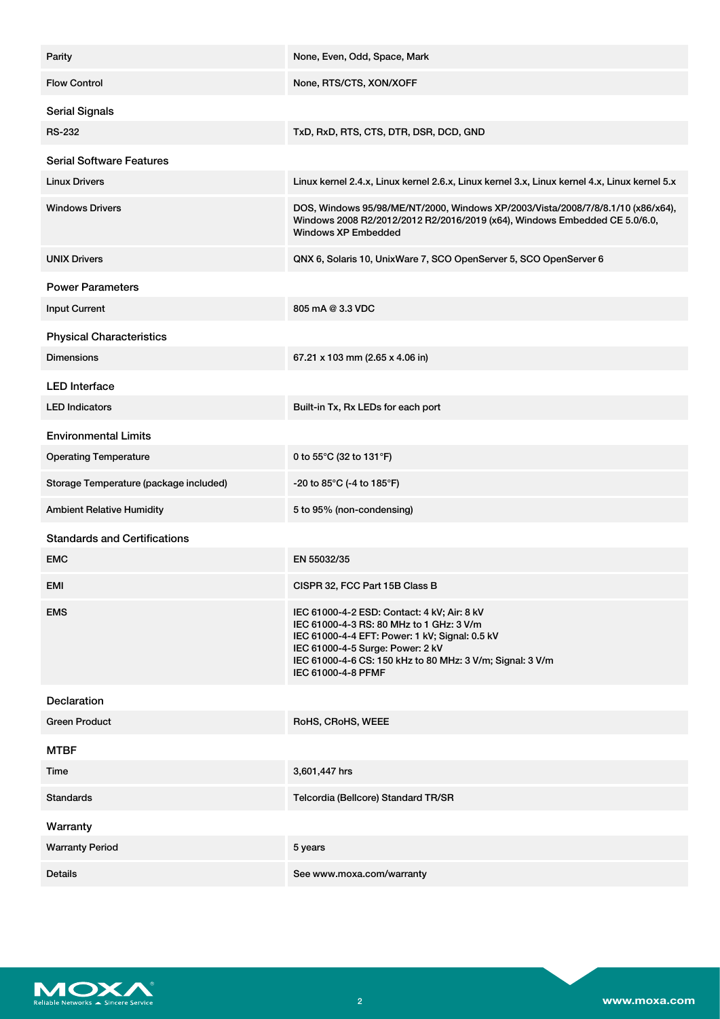| Parity                                 | None, Even, Odd, Space, Mark                                                                                                                                                                                                                                     |
|----------------------------------------|------------------------------------------------------------------------------------------------------------------------------------------------------------------------------------------------------------------------------------------------------------------|
| <b>Flow Control</b>                    | None, RTS/CTS, XON/XOFF                                                                                                                                                                                                                                          |
| <b>Serial Signals</b>                  |                                                                                                                                                                                                                                                                  |
| <b>RS-232</b>                          | TxD, RxD, RTS, CTS, DTR, DSR, DCD, GND                                                                                                                                                                                                                           |
| <b>Serial Software Features</b>        |                                                                                                                                                                                                                                                                  |
| <b>Linux Drivers</b>                   | Linux kernel 2.4.x, Linux kernel 2.6.x, Linux kernel 3.x, Linux kernel 4.x, Linux kernel 5.x                                                                                                                                                                     |
| <b>Windows Drivers</b>                 | DOS, Windows 95/98/ME/NT/2000, Windows XP/2003/Vista/2008/7/8/8.1/10 (x86/x64),<br>Windows 2008 R2/2012/2012 R2/2016/2019 (x64), Windows Embedded CE 5.0/6.0,<br><b>Windows XP Embedded</b>                                                                      |
| <b>UNIX Drivers</b>                    | QNX 6, Solaris 10, UnixWare 7, SCO OpenServer 5, SCO OpenServer 6                                                                                                                                                                                                |
| <b>Power Parameters</b>                |                                                                                                                                                                                                                                                                  |
| <b>Input Current</b>                   | 805 mA @ 3.3 VDC                                                                                                                                                                                                                                                 |
| <b>Physical Characteristics</b>        |                                                                                                                                                                                                                                                                  |
| <b>Dimensions</b>                      | 67.21 x 103 mm (2.65 x 4.06 in)                                                                                                                                                                                                                                  |
| <b>LED</b> Interface                   |                                                                                                                                                                                                                                                                  |
| <b>LED Indicators</b>                  | Built-in Tx, Rx LEDs for each port                                                                                                                                                                                                                               |
| <b>Environmental Limits</b>            |                                                                                                                                                                                                                                                                  |
| <b>Operating Temperature</b>           | 0 to 55°C (32 to 131°F)                                                                                                                                                                                                                                          |
| Storage Temperature (package included) | -20 to 85 $^{\circ}$ C (-4 to 185 $^{\circ}$ F)                                                                                                                                                                                                                  |
| <b>Ambient Relative Humidity</b>       | 5 to 95% (non-condensing)                                                                                                                                                                                                                                        |
| <b>Standards and Certifications</b>    |                                                                                                                                                                                                                                                                  |
| <b>EMC</b>                             | EN 55032/35                                                                                                                                                                                                                                                      |
| EMI                                    | CISPR 32, FCC Part 15B Class B                                                                                                                                                                                                                                   |
| <b>EMS</b>                             | IEC 61000-4-2 ESD: Contact: 4 kV; Air: 8 kV<br>IEC 61000-4-3 RS: 80 MHz to 1 GHz: 3 V/m<br>IEC 61000-4-4 EFT: Power: 1 kV; Signal: 0.5 kV<br>IEC 61000-4-5 Surge: Power: 2 kV<br>IEC 61000-4-6 CS: 150 kHz to 80 MHz: 3 V/m; Signal: 3 V/m<br>IEC 61000-4-8 PFMF |
| <b>Declaration</b>                     |                                                                                                                                                                                                                                                                  |
| Green Product                          | RoHS, CRoHS, WEEE                                                                                                                                                                                                                                                |
| <b>MTBF</b>                            |                                                                                                                                                                                                                                                                  |
| Time                                   | 3,601,447 hrs                                                                                                                                                                                                                                                    |
| <b>Standards</b>                       | Telcordia (Bellcore) Standard TR/SR                                                                                                                                                                                                                              |
| Warranty                               |                                                                                                                                                                                                                                                                  |
| <b>Warranty Period</b>                 | 5 years                                                                                                                                                                                                                                                          |
| <b>Details</b>                         | See www.moxa.com/warranty                                                                                                                                                                                                                                        |